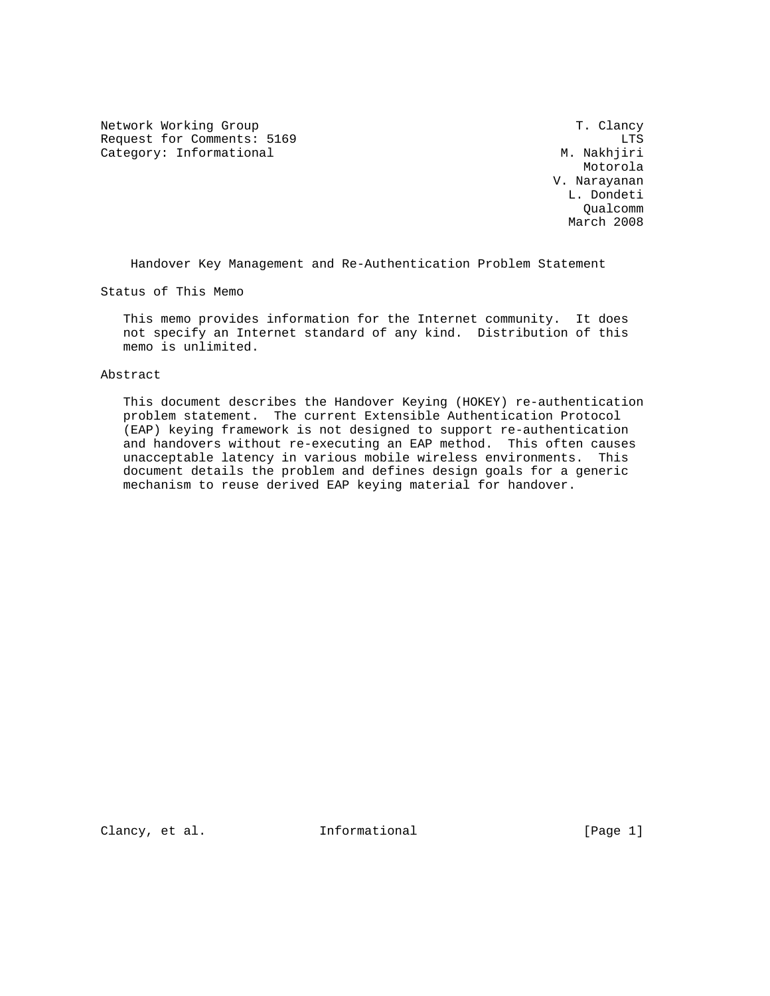Network Working Group T. Clancy Request for Comments: 5169 LTS<br>Category: Informational Category: Informational Category: Informational

 Motorola V. Narayanan L. Dondeti Qualcomm March 2008

Handover Key Management and Re-Authentication Problem Statement

Status of This Memo

 This memo provides information for the Internet community. It does not specify an Internet standard of any kind. Distribution of this memo is unlimited.

Abstract

 This document describes the Handover Keying (HOKEY) re-authentication problem statement. The current Extensible Authentication Protocol (EAP) keying framework is not designed to support re-authentication and handovers without re-executing an EAP method. This often causes unacceptable latency in various mobile wireless environments. This document details the problem and defines design goals for a generic mechanism to reuse derived EAP keying material for handover.

Clancy, et al. 1nformational [Page 1]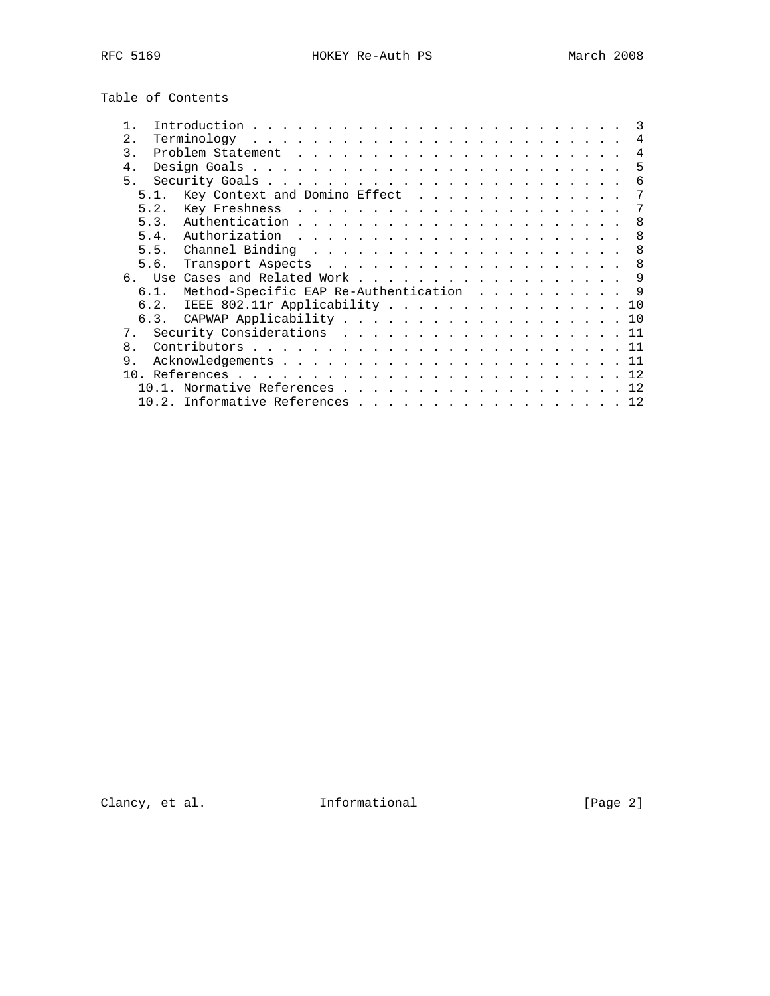Table of Contents

| 2.             |                                       |  |  |     | 4  |
|----------------|---------------------------------------|--|--|-----|----|
| 3.             |                                       |  |  |     | 4  |
| $4$ .          |                                       |  |  |     | .5 |
| 5.             |                                       |  |  |     | 6  |
| 51             | Key Context and Domino Effect         |  |  |     | 7  |
| 5.2.           |                                       |  |  |     | 7  |
| 5.3.           |                                       |  |  |     | 8  |
| 5.4.           |                                       |  |  |     | 8  |
| 5.5.           |                                       |  |  |     | 8  |
| 5.6.           |                                       |  |  |     | 8  |
|                |                                       |  |  | - 9 |    |
| 6.1.           | Method-Specific EAP Re-Authentication |  |  |     |    |
| 6.2.           | IEEE 802.11r Applicability            |  |  | 10  |    |
|                | 6.3. CAPWAP Applicability 10          |  |  |     |    |
| 7 <sub>1</sub> | Security Considerations 11            |  |  |     |    |
| 8.             |                                       |  |  |     |    |
| 9.             |                                       |  |  |     |    |
|                |                                       |  |  |     |    |
|                | 10.1. Normative References 12         |  |  |     |    |
|                | 10.2. Informative References 12       |  |  |     |    |
|                |                                       |  |  |     |    |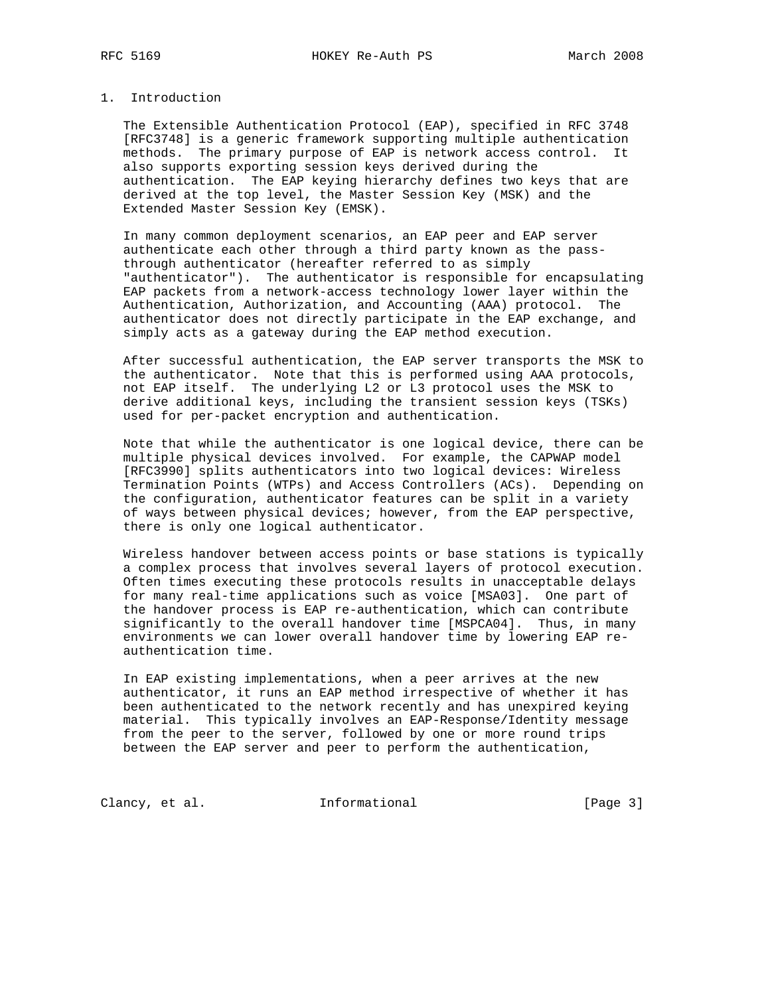# 1. Introduction

 The Extensible Authentication Protocol (EAP), specified in RFC 3748 [RFC3748] is a generic framework supporting multiple authentication methods. The primary purpose of EAP is network access control. It also supports exporting session keys derived during the authentication. The EAP keying hierarchy defines two keys that are derived at the top level, the Master Session Key (MSK) and the Extended Master Session Key (EMSK).

 In many common deployment scenarios, an EAP peer and EAP server authenticate each other through a third party known as the pass through authenticator (hereafter referred to as simply "authenticator"). The authenticator is responsible for encapsulating EAP packets from a network-access technology lower layer within the Authentication, Authorization, and Accounting (AAA) protocol. The authenticator does not directly participate in the EAP exchange, and simply acts as a gateway during the EAP method execution.

 After successful authentication, the EAP server transports the MSK to the authenticator. Note that this is performed using AAA protocols, not EAP itself. The underlying L2 or L3 protocol uses the MSK to derive additional keys, including the transient session keys (TSKs) used for per-packet encryption and authentication.

 Note that while the authenticator is one logical device, there can be multiple physical devices involved. For example, the CAPWAP model [RFC3990] splits authenticators into two logical devices: Wireless Termination Points (WTPs) and Access Controllers (ACs). Depending on the configuration, authenticator features can be split in a variety of ways between physical devices; however, from the EAP perspective, there is only one logical authenticator.

 Wireless handover between access points or base stations is typically a complex process that involves several layers of protocol execution. Often times executing these protocols results in unacceptable delays for many real-time applications such as voice [MSA03]. One part of the handover process is EAP re-authentication, which can contribute significantly to the overall handover time [MSPCA04]. Thus, in many environments we can lower overall handover time by lowering EAP re authentication time.

 In EAP existing implementations, when a peer arrives at the new authenticator, it runs an EAP method irrespective of whether it has been authenticated to the network recently and has unexpired keying material. This typically involves an EAP-Response/Identity message from the peer to the server, followed by one or more round trips between the EAP server and peer to perform the authentication,

Clancy, et al. 1nformational [Page 3]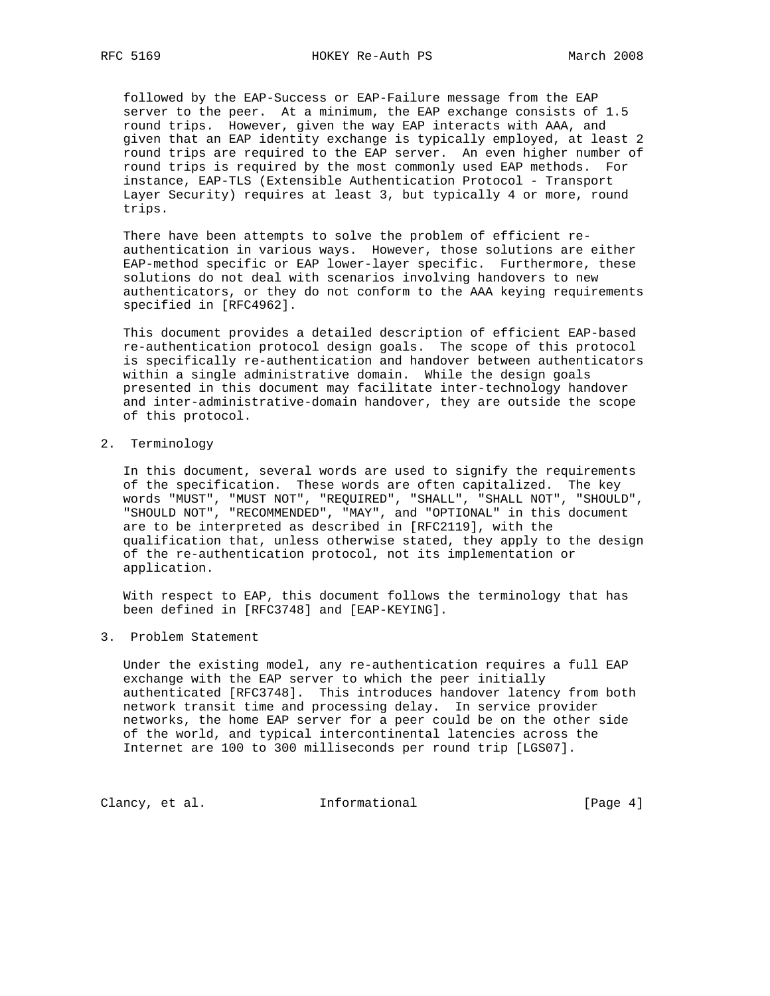followed by the EAP-Success or EAP-Failure message from the EAP server to the peer. At a minimum, the EAP exchange consists of 1.5 round trips. However, given the way EAP interacts with AAA, and given that an EAP identity exchange is typically employed, at least 2 round trips are required to the EAP server. An even higher number of round trips is required by the most commonly used EAP methods. For instance, EAP-TLS (Extensible Authentication Protocol - Transport Layer Security) requires at least 3, but typically 4 or more, round trips.

 There have been attempts to solve the problem of efficient re authentication in various ways. However, those solutions are either EAP-method specific or EAP lower-layer specific. Furthermore, these solutions do not deal with scenarios involving handovers to new authenticators, or they do not conform to the AAA keying requirements specified in [RFC4962].

 This document provides a detailed description of efficient EAP-based re-authentication protocol design goals. The scope of this protocol is specifically re-authentication and handover between authenticators within a single administrative domain. While the design goals presented in this document may facilitate inter-technology handover and inter-administrative-domain handover, they are outside the scope of this protocol.

2. Terminology

 In this document, several words are used to signify the requirements of the specification. These words are often capitalized. The key words "MUST", "MUST NOT", "REQUIRED", "SHALL", "SHALL NOT", "SHOULD", "SHOULD NOT", "RECOMMENDED", "MAY", and "OPTIONAL" in this document are to be interpreted as described in [RFC2119], with the qualification that, unless otherwise stated, they apply to the design of the re-authentication protocol, not its implementation or application.

 With respect to EAP, this document follows the terminology that has been defined in [RFC3748] and [EAP-KEYING].

## 3. Problem Statement

 Under the existing model, any re-authentication requires a full EAP exchange with the EAP server to which the peer initially authenticated [RFC3748]. This introduces handover latency from both network transit time and processing delay. In service provider networks, the home EAP server for a peer could be on the other side of the world, and typical intercontinental latencies across the Internet are 100 to 300 milliseconds per round trip [LGS07].

Clancy, et al. 1nformational [Page 4]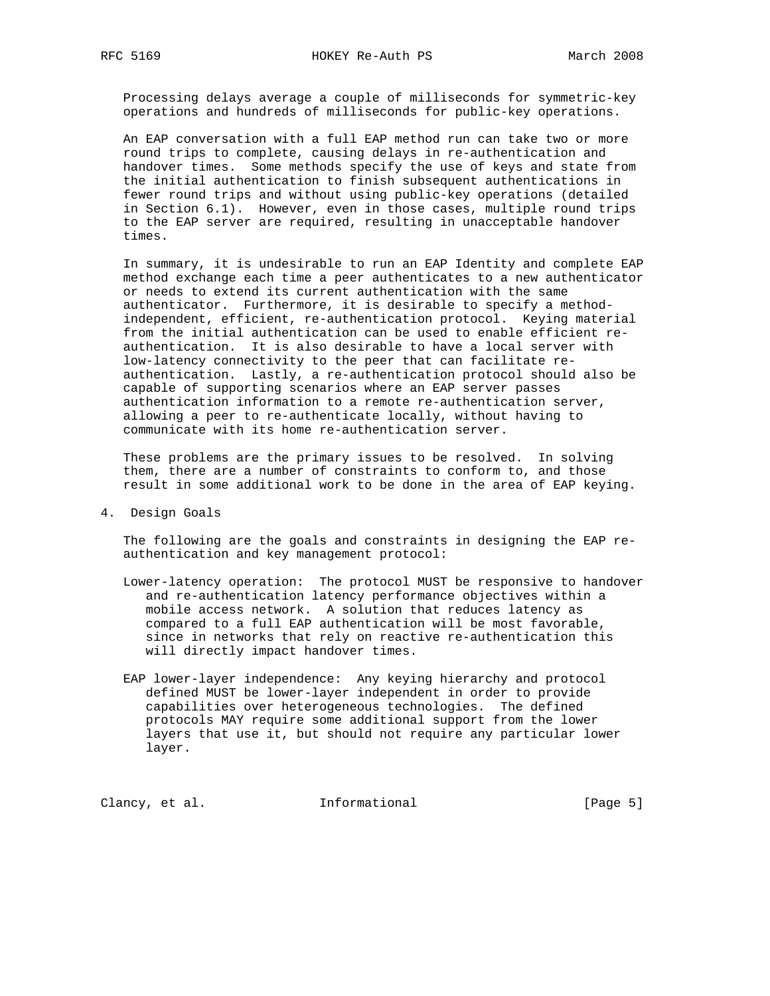Processing delays average a couple of milliseconds for symmetric-key operations and hundreds of milliseconds for public-key operations.

 An EAP conversation with a full EAP method run can take two or more round trips to complete, causing delays in re-authentication and handover times. Some methods specify the use of keys and state from the initial authentication to finish subsequent authentications in fewer round trips and without using public-key operations (detailed in Section 6.1). However, even in those cases, multiple round trips to the EAP server are required, resulting in unacceptable handover times.

 In summary, it is undesirable to run an EAP Identity and complete EAP method exchange each time a peer authenticates to a new authenticator or needs to extend its current authentication with the same authenticator. Furthermore, it is desirable to specify a method independent, efficient, re-authentication protocol. Keying material from the initial authentication can be used to enable efficient re authentication. It is also desirable to have a local server with low-latency connectivity to the peer that can facilitate re authentication. Lastly, a re-authentication protocol should also be capable of supporting scenarios where an EAP server passes authentication information to a remote re-authentication server, allowing a peer to re-authenticate locally, without having to communicate with its home re-authentication server.

 These problems are the primary issues to be resolved. In solving them, there are a number of constraints to conform to, and those result in some additional work to be done in the area of EAP keying.

4. Design Goals

 The following are the goals and constraints in designing the EAP re authentication and key management protocol:

- Lower-latency operation: The protocol MUST be responsive to handover and re-authentication latency performance objectives within a mobile access network. A solution that reduces latency as compared to a full EAP authentication will be most favorable, since in networks that rely on reactive re-authentication this will directly impact handover times.
- EAP lower-layer independence: Any keying hierarchy and protocol defined MUST be lower-layer independent in order to provide capabilities over heterogeneous technologies. The defined protocols MAY require some additional support from the lower layers that use it, but should not require any particular lower layer.

Clancy, et al. 1nformational [Page 5]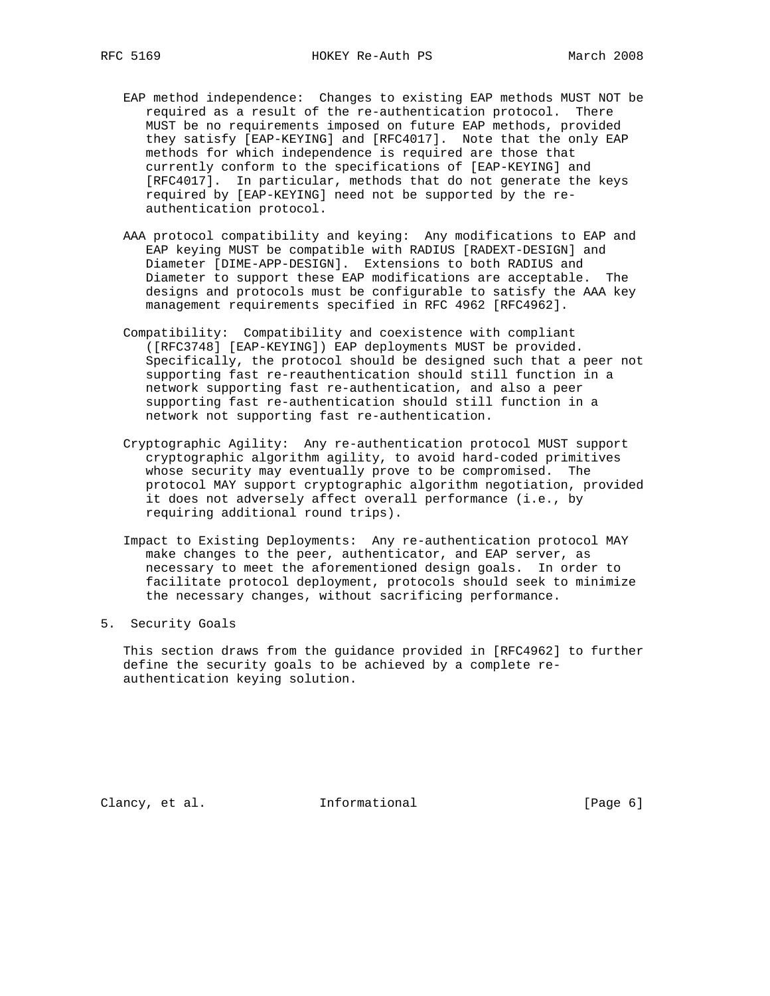- EAP method independence: Changes to existing EAP methods MUST NOT be required as a result of the re-authentication protocol. There MUST be no requirements imposed on future EAP methods, provided they satisfy [EAP-KEYING] and [RFC4017]. Note that the only EAP methods for which independence is required are those that currently conform to the specifications of [EAP-KEYING] and [RFC4017]. In particular, methods that do not generate the keys required by [EAP-KEYING] need not be supported by the re authentication protocol.
- AAA protocol compatibility and keying: Any modifications to EAP and EAP keying MUST be compatible with RADIUS [RADEXT-DESIGN] and Diameter [DIME-APP-DESIGN]. Extensions to both RADIUS and Diameter to support these EAP modifications are acceptable. The designs and protocols must be configurable to satisfy the AAA key management requirements specified in RFC 4962 [RFC4962].
- Compatibility: Compatibility and coexistence with compliant ([RFC3748] [EAP-KEYING]) EAP deployments MUST be provided. Specifically, the protocol should be designed such that a peer not supporting fast re-reauthentication should still function in a network supporting fast re-authentication, and also a peer supporting fast re-authentication should still function in a network not supporting fast re-authentication.
- Cryptographic Agility: Any re-authentication protocol MUST support cryptographic algorithm agility, to avoid hard-coded primitives whose security may eventually prove to be compromised. The protocol MAY support cryptographic algorithm negotiation, provided it does not adversely affect overall performance (i.e., by requiring additional round trips).
- Impact to Existing Deployments: Any re-authentication protocol MAY make changes to the peer, authenticator, and EAP server, as necessary to meet the aforementioned design goals. In order to facilitate protocol deployment, protocols should seek to minimize the necessary changes, without sacrificing performance.
- 5. Security Goals

 This section draws from the guidance provided in [RFC4962] to further define the security goals to be achieved by a complete re authentication keying solution.

Clancy, et al. 1nformational 1999 [Page 6]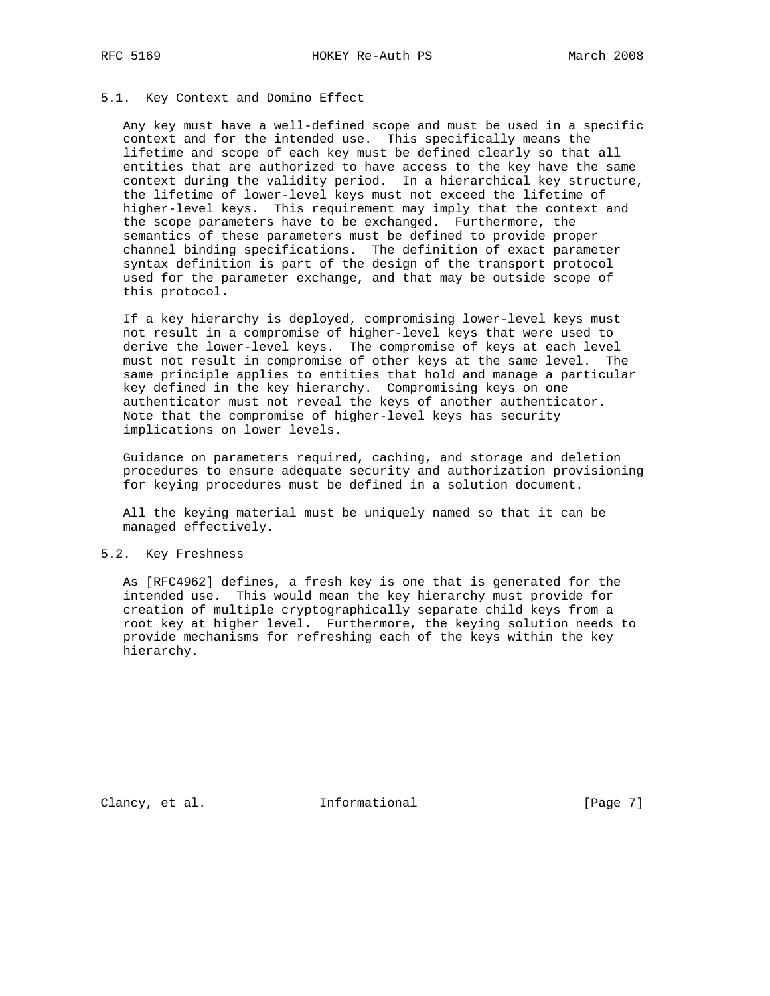## 5.1. Key Context and Domino Effect

 Any key must have a well-defined scope and must be used in a specific context and for the intended use. This specifically means the lifetime and scope of each key must be defined clearly so that all entities that are authorized to have access to the key have the same context during the validity period. In a hierarchical key structure, the lifetime of lower-level keys must not exceed the lifetime of higher-level keys. This requirement may imply that the context and the scope parameters have to be exchanged. Furthermore, the semantics of these parameters must be defined to provide proper channel binding specifications. The definition of exact parameter syntax definition is part of the design of the transport protocol used for the parameter exchange, and that may be outside scope of this protocol.

 If a key hierarchy is deployed, compromising lower-level keys must not result in a compromise of higher-level keys that were used to derive the lower-level keys. The compromise of keys at each level must not result in compromise of other keys at the same level. The same principle applies to entities that hold and manage a particular key defined in the key hierarchy. Compromising keys on one authenticator must not reveal the keys of another authenticator. Note that the compromise of higher-level keys has security implications on lower levels.

 Guidance on parameters required, caching, and storage and deletion procedures to ensure adequate security and authorization provisioning for keying procedures must be defined in a solution document.

 All the keying material must be uniquely named so that it can be managed effectively.

### 5.2. Key Freshness

 As [RFC4962] defines, a fresh key is one that is generated for the intended use. This would mean the key hierarchy must provide for creation of multiple cryptographically separate child keys from a root key at higher level. Furthermore, the keying solution needs to provide mechanisms for refreshing each of the keys within the key hierarchy.

Clancy, et al. 1nformational [Page 7]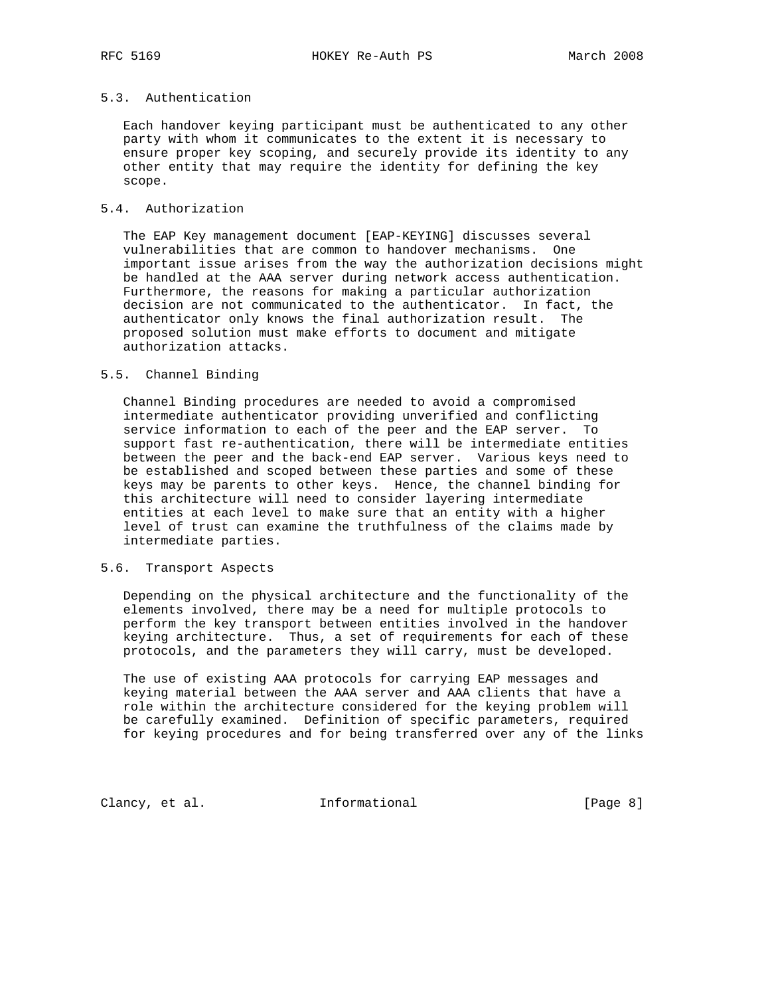# 5.3. Authentication

 Each handover keying participant must be authenticated to any other party with whom it communicates to the extent it is necessary to ensure proper key scoping, and securely provide its identity to any other entity that may require the identity for defining the key scope.

## 5.4. Authorization

 The EAP Key management document [EAP-KEYING] discusses several vulnerabilities that are common to handover mechanisms. One important issue arises from the way the authorization decisions might be handled at the AAA server during network access authentication. Furthermore, the reasons for making a particular authorization decision are not communicated to the authenticator. In fact, the authenticator only knows the final authorization result. The proposed solution must make efforts to document and mitigate authorization attacks.

#### 5.5. Channel Binding

 Channel Binding procedures are needed to avoid a compromised intermediate authenticator providing unverified and conflicting service information to each of the peer and the EAP server. To support fast re-authentication, there will be intermediate entities between the peer and the back-end EAP server. Various keys need to be established and scoped between these parties and some of these keys may be parents to other keys. Hence, the channel binding for this architecture will need to consider layering intermediate entities at each level to make sure that an entity with a higher level of trust can examine the truthfulness of the claims made by intermediate parties.

#### 5.6. Transport Aspects

 Depending on the physical architecture and the functionality of the elements involved, there may be a need for multiple protocols to perform the key transport between entities involved in the handover keying architecture. Thus, a set of requirements for each of these protocols, and the parameters they will carry, must be developed.

 The use of existing AAA protocols for carrying EAP messages and keying material between the AAA server and AAA clients that have a role within the architecture considered for the keying problem will be carefully examined. Definition of specific parameters, required for keying procedures and for being transferred over any of the links

Clancy, et al. 1nformational [Page 8]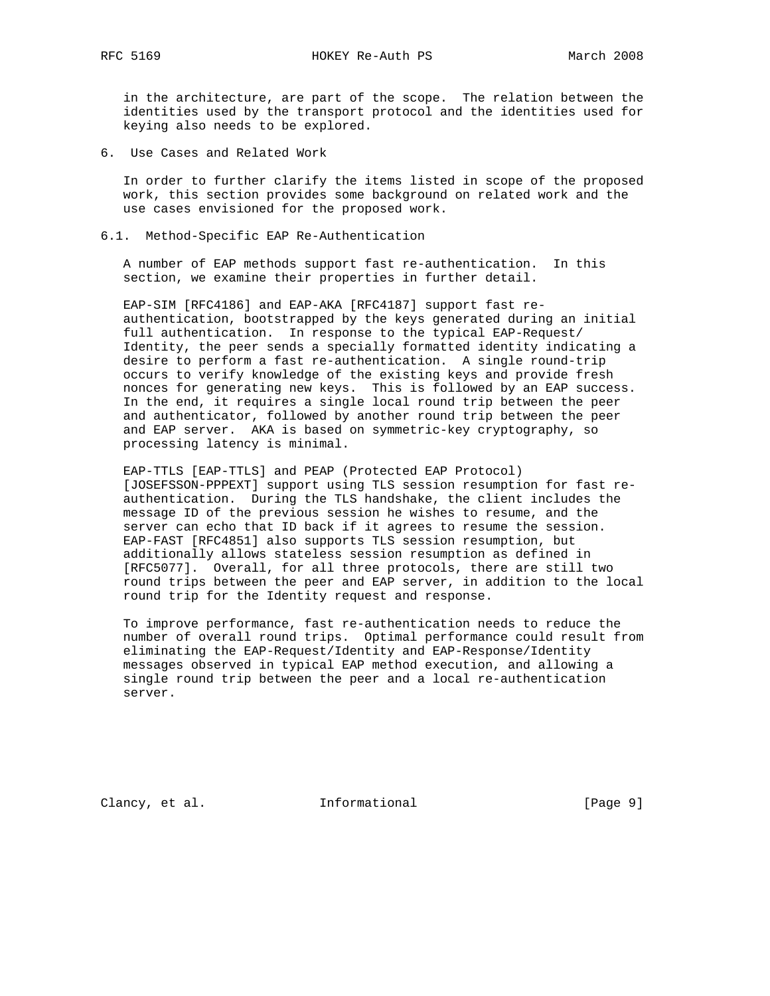in the architecture, are part of the scope. The relation between the identities used by the transport protocol and the identities used for keying also needs to be explored.

6. Use Cases and Related Work

 In order to further clarify the items listed in scope of the proposed work, this section provides some background on related work and the use cases envisioned for the proposed work.

6.1. Method-Specific EAP Re-Authentication

 A number of EAP methods support fast re-authentication. In this section, we examine their properties in further detail.

 EAP-SIM [RFC4186] and EAP-AKA [RFC4187] support fast re authentication, bootstrapped by the keys generated during an initial full authentication. In response to the typical EAP-Request/ Identity, the peer sends a specially formatted identity indicating a desire to perform a fast re-authentication. A single round-trip occurs to verify knowledge of the existing keys and provide fresh nonces for generating new keys. This is followed by an EAP success. In the end, it requires a single local round trip between the peer and authenticator, followed by another round trip between the peer and EAP server. AKA is based on symmetric-key cryptography, so processing latency is minimal.

 EAP-TTLS [EAP-TTLS] and PEAP (Protected EAP Protocol) [JOSEFSSON-PPPEXT] support using TLS session resumption for fast re authentication. During the TLS handshake, the client includes the message ID of the previous session he wishes to resume, and the server can echo that ID back if it agrees to resume the session. EAP-FAST [RFC4851] also supports TLS session resumption, but additionally allows stateless session resumption as defined in [RFC5077]. Overall, for all three protocols, there are still two round trips between the peer and EAP server, in addition to the local round trip for the Identity request and response.

 To improve performance, fast re-authentication needs to reduce the number of overall round trips. Optimal performance could result from eliminating the EAP-Request/Identity and EAP-Response/Identity messages observed in typical EAP method execution, and allowing a single round trip between the peer and a local re-authentication server.

Clancy, et al. 1nformational [Page 9]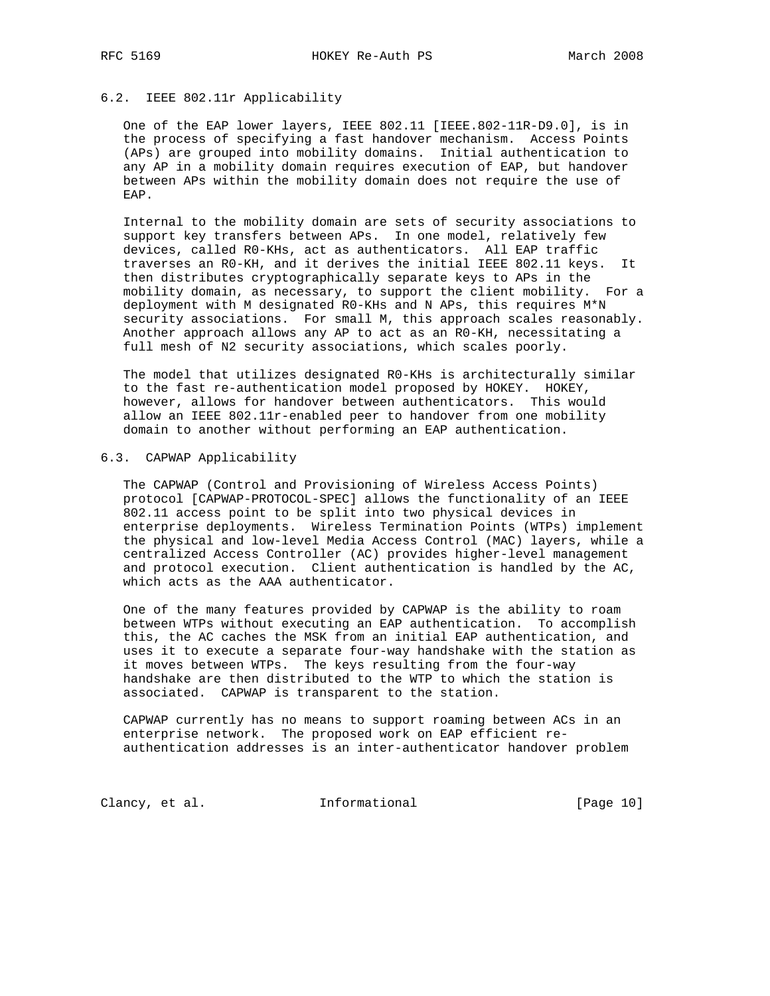# 6.2. IEEE 802.11r Applicability

 One of the EAP lower layers, IEEE 802.11 [IEEE.802-11R-D9.0], is in the process of specifying a fast handover mechanism. Access Points (APs) are grouped into mobility domains. Initial authentication to any AP in a mobility domain requires execution of EAP, but handover between APs within the mobility domain does not require the use of EAP.

 Internal to the mobility domain are sets of security associations to support key transfers between APs. In one model, relatively few devices, called R0-KHs, act as authenticators. All EAP traffic traverses an R0-KH, and it derives the initial IEEE 802.11 keys. It then distributes cryptographically separate keys to APs in the mobility domain, as necessary, to support the client mobility. For a deployment with M designated R0-KHs and N APs, this requires M\*N security associations. For small M, this approach scales reasonably. Another approach allows any AP to act as an R0-KH, necessitating a full mesh of N2 security associations, which scales poorly.

 The model that utilizes designated R0-KHs is architecturally similar to the fast re-authentication model proposed by HOKEY. HOKEY, however, allows for handover between authenticators. This would allow an IEEE 802.11r-enabled peer to handover from one mobility domain to another without performing an EAP authentication.

## 6.3. CAPWAP Applicability

 The CAPWAP (Control and Provisioning of Wireless Access Points) protocol [CAPWAP-PROTOCOL-SPEC] allows the functionality of an IEEE 802.11 access point to be split into two physical devices in enterprise deployments. Wireless Termination Points (WTPs) implement the physical and low-level Media Access Control (MAC) layers, while a centralized Access Controller (AC) provides higher-level management and protocol execution. Client authentication is handled by the AC, which acts as the AAA authenticator.

 One of the many features provided by CAPWAP is the ability to roam between WTPs without executing an EAP authentication. To accomplish this, the AC caches the MSK from an initial EAP authentication, and uses it to execute a separate four-way handshake with the station as it moves between WTPs. The keys resulting from the four-way handshake are then distributed to the WTP to which the station is associated. CAPWAP is transparent to the station.

 CAPWAP currently has no means to support roaming between ACs in an enterprise network. The proposed work on EAP efficient re authentication addresses is an inter-authenticator handover problem

Clancy, et al. **Informational** [Page 10]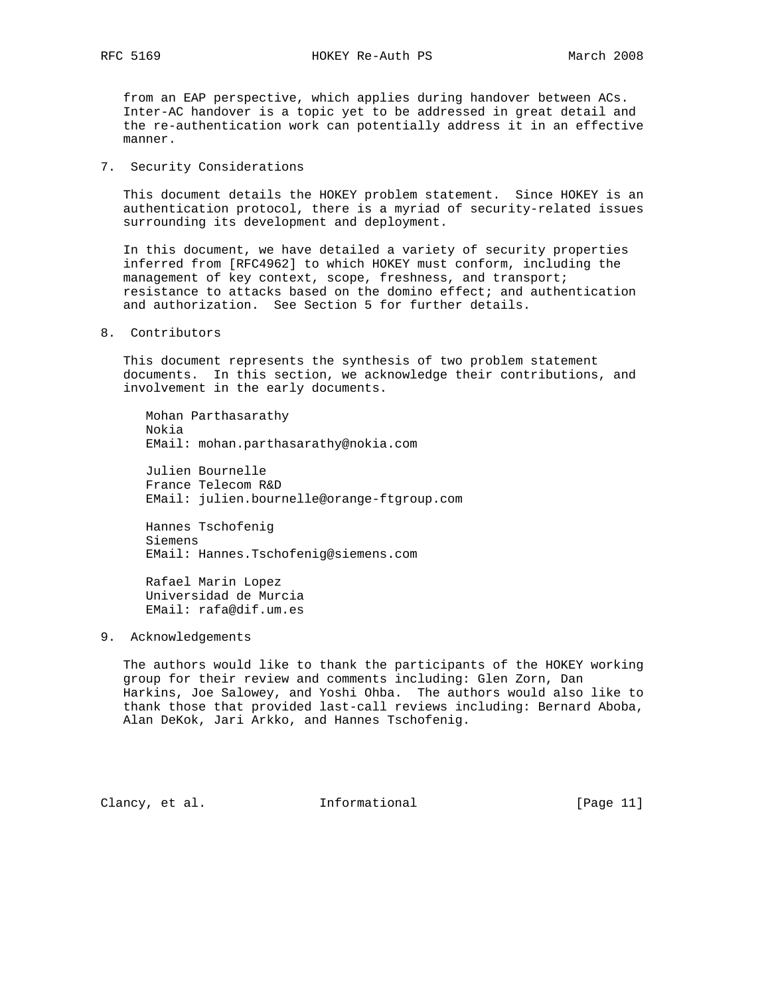from an EAP perspective, which applies during handover between ACs. Inter-AC handover is a topic yet to be addressed in great detail and the re-authentication work can potentially address it in an effective manner.

7. Security Considerations

 This document details the HOKEY problem statement. Since HOKEY is an authentication protocol, there is a myriad of security-related issues surrounding its development and deployment.

 In this document, we have detailed a variety of security properties inferred from [RFC4962] to which HOKEY must conform, including the management of key context, scope, freshness, and transport; resistance to attacks based on the domino effect; and authentication and authorization. See Section 5 for further details.

8. Contributors

 This document represents the synthesis of two problem statement documents. In this section, we acknowledge their contributions, and involvement in the early documents.

 Mohan Parthasarathy Nokia EMail: mohan.parthasarathy@nokia.com

 Julien Bournelle France Telecom R&D EMail: julien.bournelle@orange-ftgroup.com

 Hannes Tschofenig Siemens EMail: Hannes.Tschofenig@siemens.com

 Rafael Marin Lopez Universidad de Murcia EMail: rafa@dif.um.es

9. Acknowledgements

 The authors would like to thank the participants of the HOKEY working group for their review and comments including: Glen Zorn, Dan Harkins, Joe Salowey, and Yoshi Ohba. The authors would also like to thank those that provided last-call reviews including: Bernard Aboba, Alan DeKok, Jari Arkko, and Hannes Tschofenig.

Clancy, et al. **Informational** [Page 11]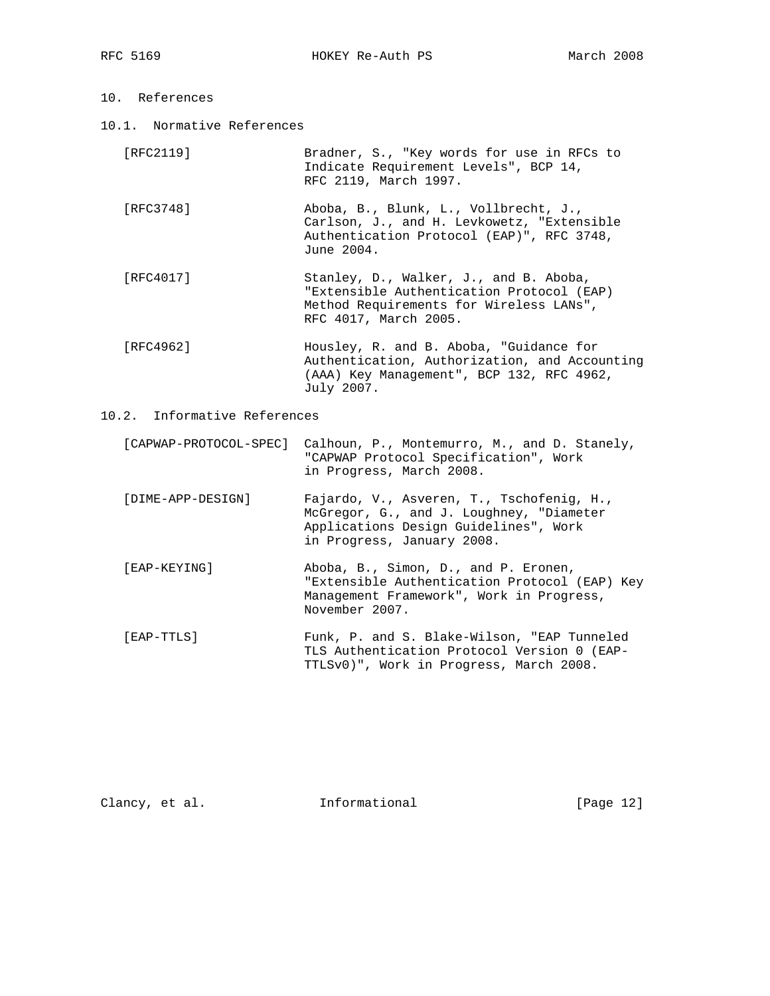- 10. References
- 10.1. Normative References

| 「RFC2119 ] | Bradner, S., "Key words for use in RFCs to |
|------------|--------------------------------------------|
|            | Indicate Requirement Levels", BCP 14,      |
|            | RFC 2119, March 1997.                      |

- [RFC3748] Aboba, B., Blunk, L., Vollbrecht, J., Carlson, J., and H. Levkowetz, "Extensible Authentication Protocol (EAP)", RFC 3748, June 2004.
- [RFC4017] Stanley, D., Walker, J., and B. Aboba, "Extensible Authentication Protocol (EAP) Method Requirements for Wireless LANs", RFC 4017, March 2005.
- [RFC4962] Housley, R. and B. Aboba, "Guidance for Authentication, Authorization, and Accounting (AAA) Key Management", BCP 132, RFC 4962, July 2007.

## 10.2. Informative References

- [CAPWAP-PROTOCOL-SPEC] Calhoun, P., Montemurro, M., and D. Stanely, "CAPWAP Protocol Specification", Work in Progress, March 2008.
- [DIME-APP-DESIGN] Fajardo, V., Asveren, T., Tschofenig, H., McGregor, G., and J. Loughney, "Diameter Applications Design Guidelines", Work in Progress, January 2008.
- [EAP-KEYING] Aboba, B., Simon, D., and P. Eronen, "Extensible Authentication Protocol (EAP) Key Management Framework", Work in Progress, November 2007.
- [EAP-TTLS] Funk, P. and S. Blake-Wilson, "EAP Tunneled TLS Authentication Protocol Version 0 (EAP- TTLSv0)", Work in Progress, March 2008.

Clancy, et al. 1nformational [Page 12]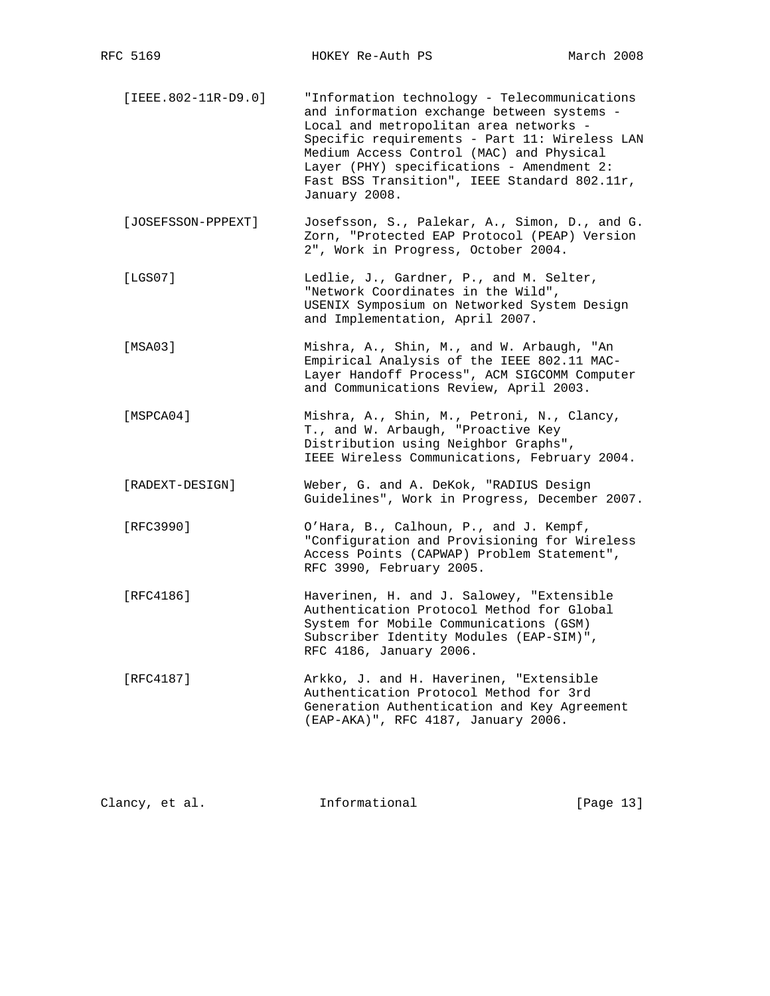- [IEEE.802-11R-D9.0] "Information technology Telecommunications and information exchange between systems - Local and metropolitan area networks - Specific requirements - Part 11: Wireless LAN Medium Access Control (MAC) and Physical Layer (PHY) specifications - Amendment 2: Fast BSS Transition", IEEE Standard 802.11r, January 2008.
- [JOSEFSSON-PPPEXT] Josefsson, S., Palekar, A., Simon, D., and G. Zorn, "Protected EAP Protocol (PEAP) Version 2", Work in Progress, October 2004.
- [LGS07] Ledlie, J., Gardner, P., and M. Selter, "Network Coordinates in the Wild", USENIX Symposium on Networked System Design and Implementation, April 2007.
- [MSA03] Mishra, A., Shin, M., and W. Arbaugh, "An Empirical Analysis of the IEEE 802.11 MAC- Layer Handoff Process", ACM SIGCOMM Computer and Communications Review, April 2003.
- [MSPCA04] Mishra, A., Shin, M., Petroni, N., Clancy, T., and W. Arbaugh, "Proactive Key Distribution using Neighbor Graphs", IEEE Wireless Communications, February 2004.
- [RADEXT-DESIGN] Weber, G. and A. DeKok, "RADIUS Design Guidelines", Work in Progress, December 2007.
- [RFC3990] O'Hara, B., Calhoun, P., and J. Kempf, "Configuration and Provisioning for Wireless Access Points (CAPWAP) Problem Statement", RFC 3990, February 2005.
- [RFC4186] Haverinen, H. and J. Salowey, "Extensible Authentication Protocol Method for Global System for Mobile Communications (GSM) Subscriber Identity Modules (EAP-SIM)", RFC 4186, January 2006.
- [RFC4187] Arkko, J. and H. Haverinen, "Extensible Authentication Protocol Method for 3rd Generation Authentication and Key Agreement (EAP-AKA)", RFC 4187, January 2006.

Clancy, et al. **Informational** [Page 13]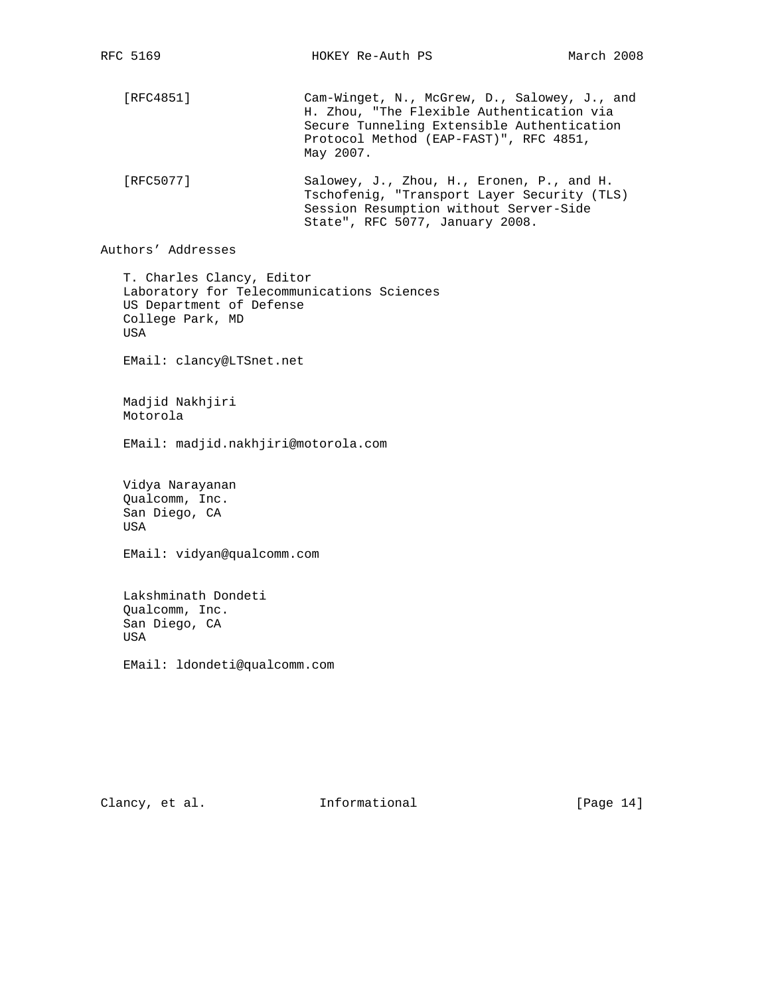RFC 5169 HOKEY Re-Auth PS March 2008 [RFC4851] Cam-Winget, N., McGrew, D., Salowey, J., and H. Zhou, "The Flexible Authentication via Secure Tunneling Extensible Authentication Protocol Method (EAP-FAST)", RFC 4851, May 2007. [RFC5077] Salowey, J., Zhou, H., Eronen, P., and H. Tschofenig, "Transport Layer Security (TLS) Session Resumption without Server-Side State", RFC 5077, January 2008. Authors' Addresses

 T. Charles Clancy, Editor Laboratory for Telecommunications Sciences US Department of Defense College Park, MD USA

EMail: clancy@LTSnet.net

 Madjid Nakhjiri Motorola

EMail: madjid.nakhjiri@motorola.com

 Vidya Narayanan Qualcomm, Inc. San Diego, CA USA

EMail: vidyan@qualcomm.com

 Lakshminath Dondeti Qualcomm, Inc. San Diego, CA USA

EMail: ldondeti@qualcomm.com

Clancy, et al. 1nformational [Page 14]